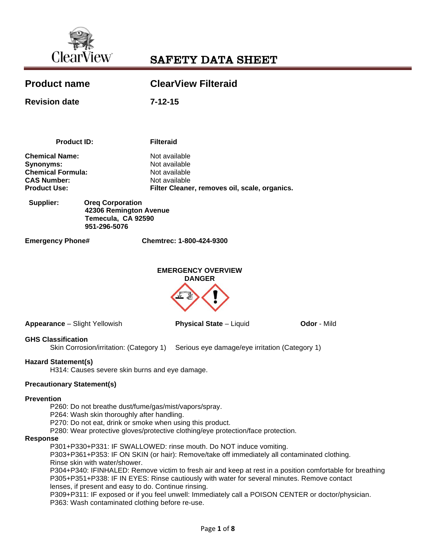

| <b>Product name</b>                                                                                       |                                                                                         | <b>ClearView Filteraid</b>                                                                                                                                                                                                                                                                                                                                                   |             |  |
|-----------------------------------------------------------------------------------------------------------|-----------------------------------------------------------------------------------------|------------------------------------------------------------------------------------------------------------------------------------------------------------------------------------------------------------------------------------------------------------------------------------------------------------------------------------------------------------------------------|-------------|--|
|                                                                                                           |                                                                                         |                                                                                                                                                                                                                                                                                                                                                                              |             |  |
| <b>Revision date</b>                                                                                      |                                                                                         | $7 - 12 - 15$                                                                                                                                                                                                                                                                                                                                                                |             |  |
|                                                                                                           |                                                                                         |                                                                                                                                                                                                                                                                                                                                                                              |             |  |
|                                                                                                           |                                                                                         |                                                                                                                                                                                                                                                                                                                                                                              |             |  |
| <b>Product ID:</b>                                                                                        |                                                                                         | <b>Filteraid</b>                                                                                                                                                                                                                                                                                                                                                             |             |  |
| <b>Chemical Name:</b>                                                                                     |                                                                                         | Not available                                                                                                                                                                                                                                                                                                                                                                |             |  |
| <b>Synonyms:</b><br><b>Chemical Formula:</b>                                                              |                                                                                         | Not available<br>Not available                                                                                                                                                                                                                                                                                                                                               |             |  |
| <b>CAS Number:</b>                                                                                        |                                                                                         | Not available                                                                                                                                                                                                                                                                                                                                                                |             |  |
| <b>Product Use:</b>                                                                                       |                                                                                         | Filter Cleaner, removes oil, scale, organics.                                                                                                                                                                                                                                                                                                                                |             |  |
| Supplier:                                                                                                 | <b>Oreg Corporation</b><br>42306 Remington Avenue<br>Temecula, CA 92590<br>951-296-5076 |                                                                                                                                                                                                                                                                                                                                                                              |             |  |
| <b>Emergency Phone#</b>                                                                                   |                                                                                         | Chemtrec: 1-800-424-9300                                                                                                                                                                                                                                                                                                                                                     |             |  |
|                                                                                                           |                                                                                         | <b>EMERGENCY OVERVIEW</b><br><b>DANGER</b>                                                                                                                                                                                                                                                                                                                                   |             |  |
| Appearance - Slight Yellowish                                                                             |                                                                                         | <b>Physical State - Liquid</b>                                                                                                                                                                                                                                                                                                                                               | Odor - Mild |  |
| <b>GHS Classification</b>                                                                                 | Skin Corrosion/irritation: (Category 1)                                                 | Serious eye damage/eye irritation (Category 1)                                                                                                                                                                                                                                                                                                                               |             |  |
| <b>Hazard Statement(s)</b>                                                                                | H314: Causes severe skin burns and eye damage.                                          |                                                                                                                                                                                                                                                                                                                                                                              |             |  |
| <b>Precautionary Statement(s)</b>                                                                         |                                                                                         |                                                                                                                                                                                                                                                                                                                                                                              |             |  |
| <b>Prevention</b><br><b>Response</b>                                                                      | P264: Wash skin thoroughly after handling.<br>Rinse skin with water/shower.             | P260: Do not breathe dust/fume/gas/mist/vapors/spray.<br>P270: Do not eat, drink or smoke when using this product.<br>P280: Wear protective gloves/protective clothing/eye protection/face protection.<br>P301+P330+P331: IF SWALLOWED: rinse mouth. Do NOT induce vomiting.<br>P303+P361+P353: IF ON SKIN (or hair): Remove/take off immediately all contaminated clothing. |             |  |
| P304+P340: IFINHALED: Remove victim to fresh air and keep at rest in a position comfortable for breathing |                                                                                         |                                                                                                                                                                                                                                                                                                                                                                              |             |  |

P305+P351+P338: IF IN EYES: Rinse cautiously with water for several minutes. Remove contact lenses, if present and easy to do. Continue rinsing.

P309+P311: IF exposed or if you feel unwell: Immediately call a POISON CENTER or doctor/physician. P363: Wash contaminated clothing before re-use.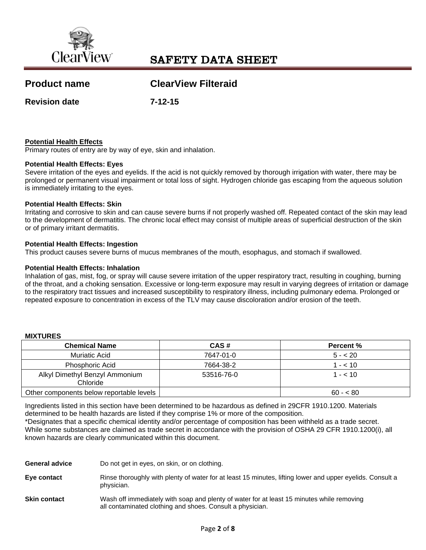

# **Product name ClearView Filteraid**

**Revision date 7-12-15** 

# **Potential Health Effects**

Primary routes of entry are by way of eye, skin and inhalation.

## **Potential Health Effects: Eyes**

Severe irritation of the eyes and eyelids. If the acid is not quickly removed by thorough irrigation with water, there may be prolonged or permanent visual impairment or total loss of sight. Hydrogen chloride gas escaping from the aqueous solution is immediately irritating to the eyes.

## **Potential Health Effects: Skin**

Irritating and corrosive to skin and can cause severe burns if not properly washed off. Repeated contact of the skin may lead to the development of dermatitis. The chronic local effect may consist of multiple areas of superficial destruction of the skin or of primary irritant dermatitis.

## **Potential Health Effects: Ingestion**

This product causes severe burns of mucus membranes of the mouth, esophagus, and stomach if swallowed.

## **Potential Health Effects: Inhalation**

Inhalation of gas, mist, fog, or spray will cause severe irritation of the upper respiratory tract, resulting in coughing, burning of the throat, and a choking sensation. Excessive or long-term exposure may result in varying degrees of irritation or damage to the respiratory tract tissues and increased susceptibility to respiratory illness, including pulmonary edema. Prolonged or repeated exposure to concentration in excess of the TLV may cause discoloration and/or erosion of the teeth.

## **MIXTURES**

| <b>Chemical Name</b>                       | CAS#       | Percent %  |
|--------------------------------------------|------------|------------|
| Muriatic Acid                              | 7647-01-0  | $5 - < 20$ |
| <b>Phosphoric Acid</b>                     | 7664-38-2  | $1 - 10$   |
| Alkyl Dimethyl Benzyl Ammonium<br>Chloride | 53516-76-0 | $1 - 10$   |
| Other components below reportable levels   |            | $60 - 80$  |

Ingredients listed in this section have been determined to be hazardous as defined in 29CFR 1910.1200. Materials determined to be health hazards are listed if they comprise 1% or more of the composition.

\*Designates that a specific chemical identity and/or percentage of composition has been withheld as a trade secret. While some substances are claimed as trade secret in accordance with the provision of OSHA 29 CFR 1910.1200(i), all known hazards are clearly communicated within this document.

| General advice | Do not get in eyes, on skin, or on clothing.                                                                            |
|----------------|-------------------------------------------------------------------------------------------------------------------------|
| Eye contact    | Rinse thoroughly with plenty of water for at least 15 minutes, lifting lower and upper evelids. Consult a<br>physician. |
| Skin contact   | Wash off immediately with soap and plenty of water for at least 15 minutes while removing                               |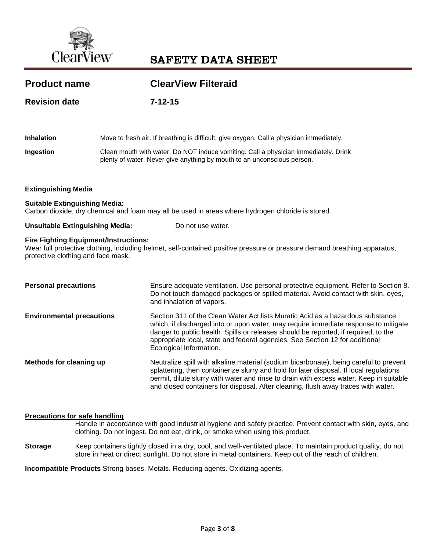

| <b>Product name</b>                                                                | <b>ClearView Filteraid</b>                                                                                                                                                                                                                                                                                                                                              |
|------------------------------------------------------------------------------------|-------------------------------------------------------------------------------------------------------------------------------------------------------------------------------------------------------------------------------------------------------------------------------------------------------------------------------------------------------------------------|
| <b>Revision date</b>                                                               | $7 - 12 - 15$                                                                                                                                                                                                                                                                                                                                                           |
|                                                                                    |                                                                                                                                                                                                                                                                                                                                                                         |
| <b>Inhalation</b>                                                                  | Move to fresh air. If breathing is difficult, give oxygen. Call a physician immediately.                                                                                                                                                                                                                                                                                |
| Ingestion                                                                          | Clean mouth with water. Do NOT induce vomiting. Call a physician immediately. Drink<br>plenty of water. Never give anything by mouth to an unconscious person.                                                                                                                                                                                                          |
| <b>Extinguishing Media</b>                                                         |                                                                                                                                                                                                                                                                                                                                                                         |
| <b>Suitable Extinguishing Media:</b>                                               | Carbon dioxide, dry chemical and foam may all be used in areas where hydrogen chloride is stored.                                                                                                                                                                                                                                                                       |
| <b>Unsuitable Extinguishing Media:</b>                                             | Do not use water.                                                                                                                                                                                                                                                                                                                                                       |
| <b>Fire Fighting Equipment/Instructions:</b><br>protective clothing and face mask. | Wear full protective clothing, including helmet, self-contained positive pressure or pressure demand breathing apparatus,                                                                                                                                                                                                                                               |
| <b>Personal precautions</b>                                                        | Ensure adequate ventilation. Use personal protective equipment. Refer to Section 8.<br>Do not touch damaged packages or spilled material. Avoid contact with skin, eyes,<br>and inhalation of vapors.                                                                                                                                                                   |
| <b>Environmental precautions</b>                                                   | Section 311 of the Clean Water Act lists Muratic Acid as a hazardous substance<br>which, if discharged into or upon water, may require immediate response to mitigate<br>danger to public health. Spills or releases should be reported, if required, to the<br>appropriate local, state and federal agencies. See Section 12 for additional<br>Ecological Information. |
| Methods for cleaning up                                                            | Neutralize spill with alkaline material (sodium bicarbonate), being careful to prevent<br>splattering, then containerize slurry and hold for later disposal. If local regulations<br>permit, dilute slurry with water and rinse to drain with excess water. Keep in suitable<br>and closed containers for disposal. After cleaning, flush away traces with water.       |

# **Precautions for safe handling**

Handle in accordance with good industrial hygiene and safety practice. Prevent contact with skin, eyes, and clothing. Do not ingest. Do not eat, drink, or smoke when using this product.

**Storage** Keep containers tightly closed in a dry, cool, and well-ventilated place. To maintain product quality, do not store in heat or direct sunlight. Do not store in metal containers. Keep out of the reach of children.

**Incompatible Products** Strong bases. Metals. Reducing agents. Oxidizing agents.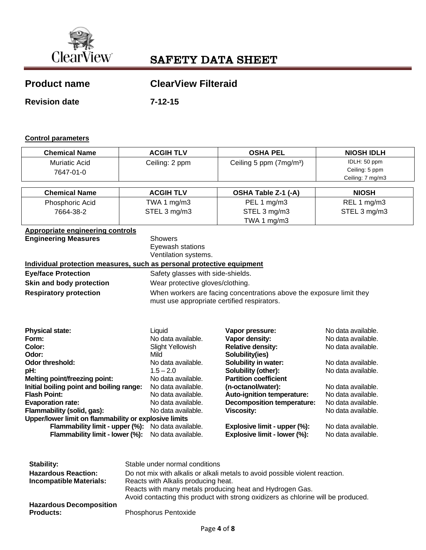

# **Product name ClearView Filteraid**

**Revision date 7-12-15** 

# **Control parameters**

| <b>Chemical Name</b>                                                  |  | <b>ACGIH TLV</b>                                                     | <b>OSHA PEL</b>                     | <b>NIOSH IDLH</b>  |  |  |
|-----------------------------------------------------------------------|--|----------------------------------------------------------------------|-------------------------------------|--------------------|--|--|
| Muriatic Acid                                                         |  | Ceiling: 2 ppm                                                       | Ceiling 5 ppm (7mg/m <sup>3</sup> ) | IDLH: 50 ppm       |  |  |
| 7647-01-0                                                             |  |                                                                      |                                     | Ceiling: 5 ppm     |  |  |
|                                                                       |  |                                                                      |                                     | Ceiling: 7 mg/m3   |  |  |
| <b>Chemical Name</b>                                                  |  | <b>ACGIH TLV</b>                                                     | OSHA Table Z-1 (-A)                 | <b>NIOSH</b>       |  |  |
| Phosphoric Acid                                                       |  | TWA 1 mg/m3                                                          | PEL 1 mg/m3                         | REL 1 mg/m3        |  |  |
| 7664-38-2                                                             |  | STEL 3 mg/m3                                                         | STEL 3 mg/m3                        | STEL 3 mg/m3       |  |  |
|                                                                       |  |                                                                      | TWA 1 mg/m3                         |                    |  |  |
| <b>Appropriate engineering controls</b>                               |  |                                                                      |                                     |                    |  |  |
| <b>Engineering Measures</b>                                           |  | <b>Showers</b>                                                       |                                     |                    |  |  |
|                                                                       |  | Eyewash stations                                                     |                                     |                    |  |  |
|                                                                       |  | Ventilation systems.                                                 |                                     |                    |  |  |
| Individual protection measures, such as personal protective equipment |  |                                                                      |                                     |                    |  |  |
| <b>Eye/face Protection</b>                                            |  | Safety glasses with side-shields.                                    |                                     |                    |  |  |
| Skin and body protection                                              |  | Wear protective gloves/clothing.                                     |                                     |                    |  |  |
| <b>Respiratory protection</b>                                         |  | When workers are facing concentrations above the exposure limit they |                                     |                    |  |  |
|                                                                       |  | must use appropriate certified respirators.                          |                                     |                    |  |  |
|                                                                       |  |                                                                      |                                     |                    |  |  |
|                                                                       |  |                                                                      |                                     |                    |  |  |
| <b>Physical state:</b>                                                |  | Liquid                                                               | Vapor pressure:                     | No data available. |  |  |
| Form:                                                                 |  | No data available.                                                   | Vapor density:                      | No data available. |  |  |
| Color:                                                                |  | Slight Yellowish                                                     | <b>Relative density:</b>            | No data available. |  |  |
| Odor:                                                                 |  | Mild                                                                 | Solubility(ies)                     |                    |  |  |
| Odor threshold:                                                       |  | No data available.                                                   | Solubility in water:                | No data available. |  |  |
| pH:                                                                   |  | $1.5 - 2.0$                                                          | Solubility (other):                 | No data available. |  |  |
| <b>Melting point/freezing point:</b>                                  |  | No data available.                                                   | <b>Partition coefficient</b>        |                    |  |  |
| Initial boiling point and boiling range:                              |  | No data available.                                                   | (n-octanol/water):                  | No data available. |  |  |
| <b>Flash Point:</b>                                                   |  | No data available.                                                   | Auto-ignition temperature:          | No data available. |  |  |
| <b>Evaporation rate:</b>                                              |  | No data available.                                                   | <b>Decomposition temperature:</b>   | No data available. |  |  |
| Flammability (solid, gas):                                            |  | <b>Viscosity:</b><br>No data available.<br>No data available.        |                                     |                    |  |  |
| Upper/lower limit on flammability or explosive limits                 |  |                                                                      |                                     |                    |  |  |
| Flammability limit - upper (%):                                       |  | No data available.                                                   | Explosive limit - upper (%):        | No data available. |  |  |
| Flammability limit - lower (%):                                       |  | No data available.                                                   | Explosive limit - lower (%):        | No data available. |  |  |
|                                                                       |  |                                                                      |                                     |                    |  |  |
|                                                                       |  |                                                                      |                                     |                    |  |  |
| Stability:                                                            |  | Stable under normal conditions                                       |                                     |                    |  |  |

| Stability:                     | Stable under normal conditions                                                    |
|--------------------------------|-----------------------------------------------------------------------------------|
| <b>Hazardous Reaction:</b>     | Do not mix with alkalis or alkali metals to avoid possible violent reaction.      |
| Incompatible Materials:        | Reacts with Alkalis producing heat.                                               |
|                                | Reacts with many metals producing heat and Hydrogen Gas.                          |
|                                | Avoid contacting this product with strong oxidizers as chlorine will be produced. |
| <b>Hazardous Decomposition</b> |                                                                                   |
| <b>Products:</b>               | Phosphorus Pentoxide                                                              |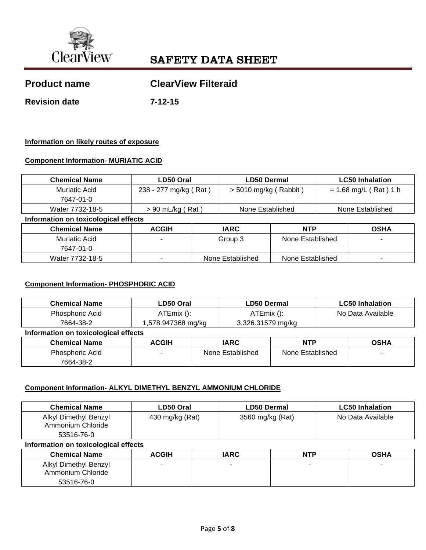

| <b>Product name</b> |  |
|---------------------|--|
|---------------------|--|

**ClearView Filteraid** 

**Revision date 7-12-15** 

# **Information on likely routes of exposure**

# **Component Information- MURIATIC ACID**

| <b>Chemical Name</b>                 | LD50 Oral             | <b>LD50 Dermal</b>      | <b>LC50 Inhalation</b>  |  |  |  |
|--------------------------------------|-----------------------|-------------------------|-------------------------|--|--|--|
| Muriatic Acid                        | 238 - 277 mg/kg (Rat) | $>$ 5010 mg/kg (Rabbit) | $= 1.68$ mg/L (Rat) 1 h |  |  |  |
| 7647-01-0                            |                       |                         |                         |  |  |  |
| Water 7732-18-5                      | $> 90$ mL/kg (Rat)    | None Established        | None Established        |  |  |  |
| Information on toxicological effects |                       |                         |                         |  |  |  |

| <b>Chemical Name</b> | <b>ACGIH</b>             | <b>IARC</b>      | <b>NTP</b>       | <b>OSHA</b> |
|----------------------|--------------------------|------------------|------------------|-------------|
| Muriatic Acid        | $\overline{\phantom{a}}$ | Group 3          | None Established |             |
| 7647-01-0            |                          |                  |                  |             |
| Water 7732-18-5      | $\overline{\phantom{a}}$ | None Established | None Established | -           |

# **Component Information- PHOSPHORIC ACID**

| <b>Chemical Name</b>                 | LD50 Oral          |            | <b>LD50 Dermal</b> |                  | <b>LC50 Inhalation</b> |                   |
|--------------------------------------|--------------------|------------|--------------------|------------------|------------------------|-------------------|
| Phosphoric Acid                      |                    | ATEmix (): |                    | ATEmix ():       |                        | No Data Available |
| 7664-38-2                            | 1,578.947368 mg/kg |            | 3,326.31579 mg/kg  |                  |                        |                   |
| Information on toxicological effects |                    |            |                    |                  |                        |                   |
| <b>Chemical Name</b>                 | <b>ACGIH</b>       |            | <b>IARC</b>        | <b>NTP</b>       |                        | <b>OSHA</b>       |
| Phosphoric Acid                      |                    |            | None Established   | None Established |                        | ۰                 |
| 7664-38-2                            |                    |            |                    |                  |                        |                   |

# **Component Information- ALKYL DIMETHYL BENZYL AMMONIUM CHLORIDE**

| <b>Chemical Name</b>                              | LD50 Oral       |             | <b>LD50 Dermal</b> | <b>LC50 Inhalation</b> |  |
|---------------------------------------------------|-----------------|-------------|--------------------|------------------------|--|
| <b>Alkyl Dimethyl Benzyl</b><br>Ammonium Chloride | 430 mg/kg (Rat) |             | 3560 mg/kg (Rat)   | No Data Available      |  |
| 53516-76-0                                        |                 |             |                    |                        |  |
| Information on toxicological effects              |                 |             |                    |                        |  |
| <b>Chemical Name</b>                              | <b>ACGIH</b>    | <b>IARC</b> | <b>NTP</b>         | <b>OSHA</b>            |  |
| Alkyl Dimethyl Benzyl<br>Ammonium Chloride        |                 |             |                    |                        |  |
| 53516-76-0                                        |                 |             |                    |                        |  |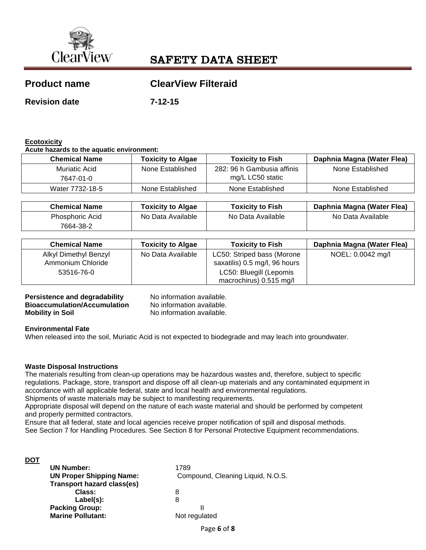

# **Product name ClearView Filteraid**

**Revision date 7-12-15** 

# **Ecotoxicity**

**Acute hazards to the aquatic environment:** 

| <b>Chemical Name</b> | <b>Toxicity to Algae</b> | <b>Toxicity to Fish</b>    | Daphnia Magna (Water Flea) |
|----------------------|--------------------------|----------------------------|----------------------------|
| Muriatic Acid        | None Established         | 282: 96 h Gambusia affinis | None Established           |
| 7647-01-0            |                          | mg/L LC50 static           |                            |
| Water 7732-18-5      | None Established         | None Established           | None Established           |
|                      |                          |                            |                            |

| <b>Chemical Name</b> | <b>Toxicity to Algae</b> | <b>Toxicity to Fish</b> | Daphnia Magna (Water Flea) |
|----------------------|--------------------------|-------------------------|----------------------------|
| Phosphoric Acid      | No Data Available        | No Data Available       | No Data Available          |
| 7664-38-2            |                          |                         |                            |

| <b>Chemical Name</b>                       | <b>Toxicity to Algae</b> | <b>Toxicity to Fish</b>                                     | Daphnia Magna (Water Flea) |
|--------------------------------------------|--------------------------|-------------------------------------------------------------|----------------------------|
| Alkyl Dimethyl Benzyl<br>Ammonium Chloride | No Data Available        | LC50: Striped bass (Morone<br>saxatilis) 0.5 mg/l, 96 hours | NOEL: 0.0042 mg/l          |
| 53516-76-0                                 |                          | LC50: Bluegill (Lepomis<br>macrochirus) 0.515 mg/l          |                            |

# **Persistence and degradability** No information available. **Bioaccumulation/Accumulation <br>Mobility in Soil <b>Mobility** in Soil **Mobility** in Soil

No information available.

## **Environmental Fate**

When released into the soil, Muriatic Acid is not expected to biodegrade and may leach into groundwater.

## **Waste Disposal Instructions**

The materials resulting from clean-up operations may be hazardous wastes and, therefore, subject to specific regulations. Package, store, transport and dispose off all clean-up materials and any contaminated equipment in accordance with all applicable federal, state and local health and environmental regulations.

Shipments of waste materials may be subject to manifesting requirements.

Appropriate disposal will depend on the nature of each waste material and should be performed by competent and properly permitted contractors.

Ensure that all federal, state and local agencies receive proper notification of spill and disposal methods. See Section 7 for Handling Procedures. See Section 8 for Personal Protective Equipment recommendations.

## **DOT**

| <b>UN Number:</b>                 | 1789                              |
|-----------------------------------|-----------------------------------|
| <b>UN Proper Shipping Name:</b>   | Compound, Cleaning Liquid, N.O.S. |
| <b>Transport hazard class(es)</b> |                                   |
| Class:                            | 8                                 |
| $Label(s)$ :                      | 8                                 |
| <b>Packing Group:</b>             |                                   |
| <b>Marine Pollutant:</b>          | Not regulated                     |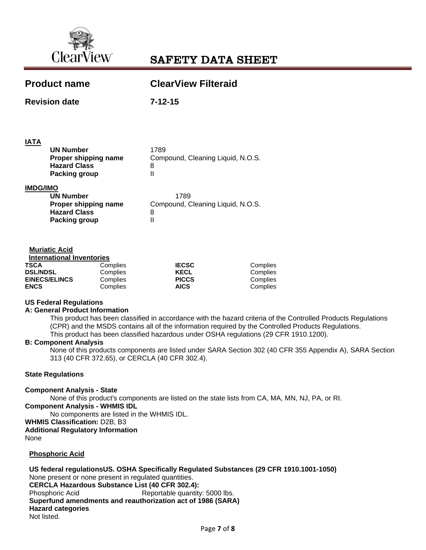

| <b>Product name</b><br><b>Revision date</b> |                                                                                         | <b>ClearView Filteraid</b>                          |  |  |
|---------------------------------------------|-----------------------------------------------------------------------------------------|-----------------------------------------------------|--|--|
|                                             |                                                                                         | 7-12-15                                             |  |  |
| <b>IATA</b>                                 | <b>UN Number</b><br>Proper shipping name<br><b>Hazard Class</b><br>Packing group        | 1789<br>Compound, Cleaning Liquid, N.O.S.<br>8<br>Ш |  |  |
| <b>IMDG/IMO</b>                             |                                                                                         |                                                     |  |  |
|                                             | <b>UN Number</b><br>Proper shipping name<br><b>Hazard Class</b><br><b>Packing group</b> | 1789<br>Compound, Cleaning Liquid, N.O.S.<br>8<br>Ш |  |  |

## **Muriatic Acid**

| International Inventories |          |              |          |
|---------------------------|----------|--------------|----------|
| <b>TSCA</b>               | Complies | <b>IECSC</b> | Complies |
| <b>DSL/NDSL</b>           | Complies | <b>KECL</b>  | Complies |
| <b>EINECS/ELINCS</b>      | Complies | <b>PICCS</b> | Complies |
| <b>ENCS</b>               | Complies | <b>AICS</b>  | Complies |

## **US Federal Regulations**

#### **A: General Product Information**

This product has been classified in accordance with the hazard criteria of the Controlled Products Regulations (CPR) and the MSDS contains all of the information required by the Controlled Products Regulations. This product has been classified hazardous under OSHA regulations (29 CFR 1910.1200).

## **B: Component Analysis**

None of this products components are listed under SARA Section 302 (40 CFR 355 Appendix A), SARA Section 313 (40 CFR 372.65), or CERCLA (40 CFR 302.4).

## **State Regulations**

#### **Component Analysis - State**

None of this product's components are listed on the state lists from CA, MA, MN, NJ, PA, or RI.

# **Component Analysis - WHMIS IDL**

No components are listed in the WHMIS IDL. **WHMIS Classification:** D2B, B3

# **Additional Regulatory Information**

None

# **Phosphoric Acid**

**US federal regulationsUS. OSHA Specifically Regulated Substances (29 CFR 1910.1001-1050)**  None present or none present in regulated quantities. **CERCLA Hazardous Substance List (40 CFR 302.4):**  Phosphoric Acid Reportable quantity: 5000 lbs. **Superfund amendments and reauthorization act of 1986 (SARA) Hazard categories**  Not listed.